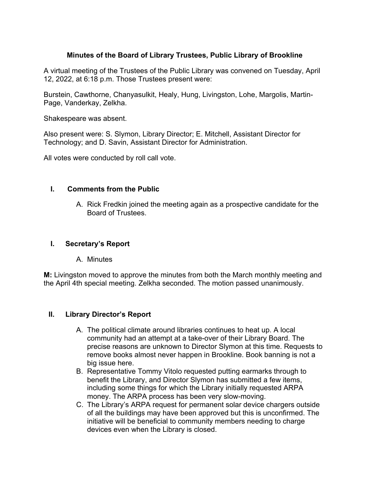# **Minutes of the Board of Library Trustees, Public Library of Brookline**

A virtual meeting of the Trustees of the Public Library was convened on Tuesday, April 12, 2022, at 6:18 p.m. Those Trustees present were:

Burstein, Cawthorne, Chanyasulkit, Healy, Hung, Livingston, Lohe, Margolis, Martin-Page, Vanderkay, Zelkha.

Shakespeare was absent.

Also present were: S. Slymon, Library Director; E. Mitchell, Assistant Director for Technology; and D. Savin, Assistant Director for Administration.

All votes were conducted by roll call vote.

### **I. Comments from the Public**

A. Rick Fredkin joined the meeting again as a prospective candidate for the Board of Trustees.

### **I. Secretary's Report**

A. Minutes

**M:** Livingston moved to approve the minutes from both the March monthly meeting and the April 4th special meeting. Zelkha seconded. The motion passed unanimously.

### **II. Library Director's Report**

- A. The political climate around libraries continues to heat up. A local community had an attempt at a take-over of their Library Board. The precise reasons are unknown to Director Slymon at this time. Requests to remove books almost never happen in Brookline. Book banning is not a big issue here.
- B. Representative Tommy Vitolo requested putting earmarks through to benefit the Library, and Director Slymon has submitted a few items, including some things for which the Library initially requested ARPA money. The ARPA process has been very slow-moving.
- C. The Library's ARPA request for permanent solar device chargers outside of all the buildings may have been approved but this is unconfirmed. The initiative will be beneficial to community members needing to charge devices even when the Library is closed.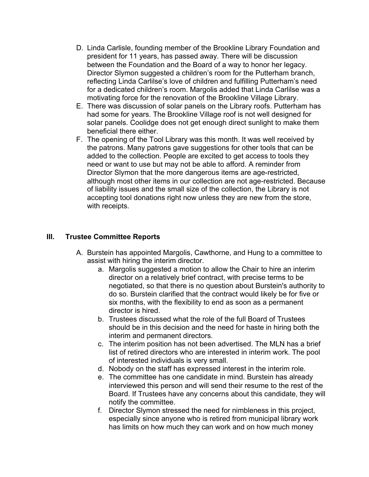- D. Linda Carlisle, founding member of the Brookline Library Foundation and president for 11 years, has passed away. There will be discussion between the Foundation and the Board of a way to honor her legacy. Director Slymon suggested a children's room for the Putterham branch, reflecting Linda Carlilse's love of children and fulfilling Putterham's need for a dedicated children's room. Margolis added that Linda Carlilse was a motivating force for the renovation of the Brookline Village Library.
- E. There was discussion of solar panels on the Library roofs. Putterham has had some for years. The Brookline Village roof is not well designed for solar panels. Coolidge does not get enough direct sunlight to make them beneficial there either.
- F. The opening of the Tool Library was this month. It was well received by the patrons. Many patrons gave suggestions for other tools that can be added to the collection. People are excited to get access to tools they need or want to use but may not be able to afford. A reminder from Director Slymon that the more dangerous items are age-restricted, although most other items in our collection are not age-restricted. Because of liability issues and the small size of the collection, the Library is not accepting tool donations right now unless they are new from the store, with receipts.

### **III. Trustee Committee Reports**

- A. Burstein has appointed Margolis, Cawthorne, and Hung to a committee to assist with hiring the interim director.
	- a. Margolis suggested a motion to allow the Chair to hire an interim director on a relatively brief contract, with precise terms to be negotiated, so that there is no question about Burstein's authority to do so. Burstein clarified that the contract would likely be for five or six months, with the flexibility to end as soon as a permanent director is hired.
	- b. Trustees discussed what the role of the full Board of Trustees should be in this decision and the need for haste in hiring both the interim and permanent directors.
	- c. The interim position has not been advertised. The MLN has a brief list of retired directors who are interested in interim work. The pool of interested individuals is very small.
	- d. Nobody on the staff has expressed interest in the interim role.
	- e. The committee has one candidate in mind. Burstein has already interviewed this person and will send their resume to the rest of the Board. If Trustees have any concerns about this candidate, they will notify the committee.
	- f. Director Slymon stressed the need for nimbleness in this project, especially since anyone who is retired from municipal library work has limits on how much they can work and on how much money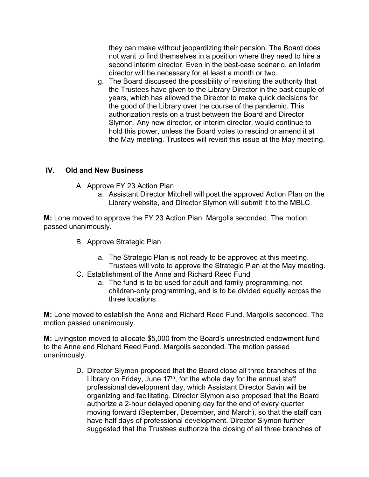they can make without jeopardizing their pension. The Board does not want to find themselves in a position where they need to hire a second interim director. Even in the best-case scenario, an interim director will be necessary for at least a month or two.

g. The Board discussed the possibility of revisiting the authority that the Trustees have given to the Library Director in the past couple of years, which has allowed the Director to make quick decisions for the good of the Library over the course of the pandemic. This authorization rests on a trust between the Board and Director Slymon. Any new director, or interim director, would continue to hold this power, unless the Board votes to rescind or amend it at the May meeting. Trustees will revisit this issue at the May meeting.

## **IV. Old and New Business**

- A. Approve FY 23 Action Plan
	- a. Assistant Director Mitchell will post the approved Action Plan on the Library website, and Director Slymon will submit it to the MBLC.

**M:** Lohe moved to approve the FY 23 Action Plan. Margolis seconded. The motion passed unanimously.

- B. Approve Strategic Plan
	- a. The Strategic Plan is not ready to be approved at this meeting. Trustees will vote to approve the Strategic Plan at the May meeting.
- C. Establishment of the Anne and Richard Reed Fund
	- a. The fund is to be used for adult and family programming, not children-only programming, and is to be divided equally across the three locations.

**M:** Lohe moved to establish the Anne and Richard Reed Fund. Margolis seconded. The motion passed unanimously.

**M:** Livingston moved to allocate \$5,000 from the Board's unrestricted endowment fund to the Anne and Richard Reed Fund. Margolis seconded. The motion passed unanimously.

> D. Director Slymon proposed that the Board close all three branches of the Library on Friday, June  $17<sup>th</sup>$ , for the whole day for the annual staff professional development day, which Assistant Director Savin will be organizing and facilitating. Director Slymon also proposed that the Board authorize a 2-hour delayed opening day for the end of every quarter moving forward (September, December, and March), so that the staff can have half days of professional development. Director Slymon further suggested that the Trustees authorize the closing of all three branches of